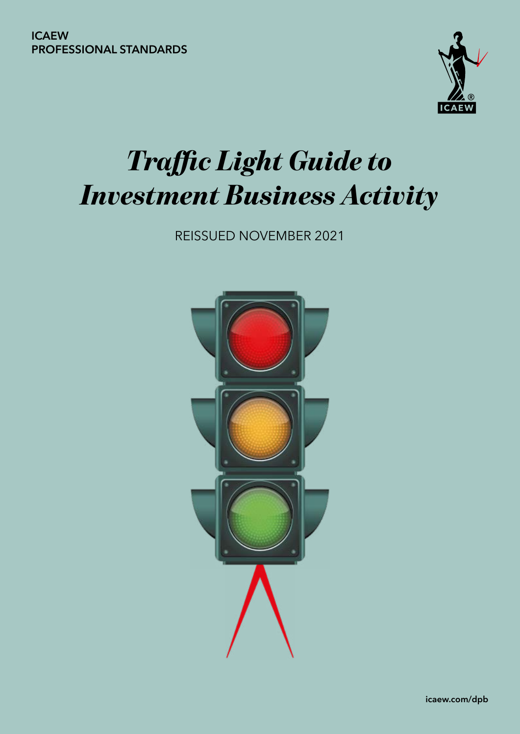

# *Traffic Light Guide to Investment Business Activity*

REISSUED NOVEMBER 2021

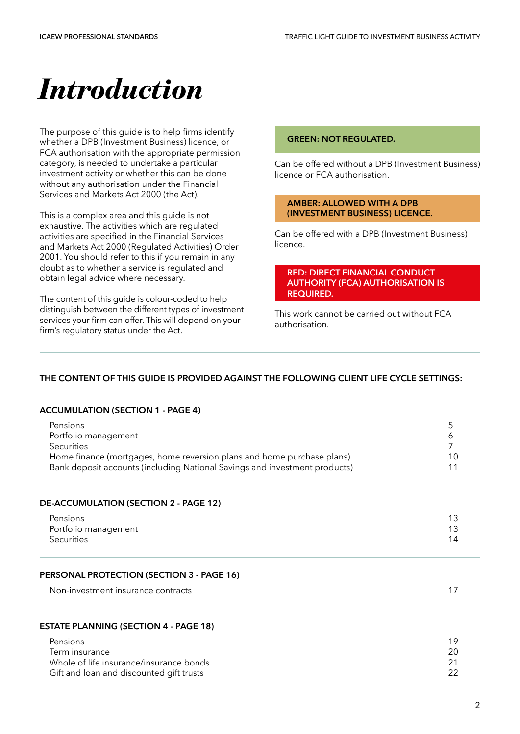## *Introduction*

The purpose of this guide is to help firms identify whether a DPB (Investment Business) licence, or FCA authorisation with the appropriate permission category, is needed to undertake a particular investment activity or whether this can be done without any authorisation under the Financial Services and Markets Act 2000 (the Act).

This is a complex area and this guide is not exhaustive. The activities which are regulated activities are specified in the Financial Services and Markets Act 2000 (Regulated Activities) Order 2001. You should refer to this if you remain in any doubt as to whether a service is regulated and obtain legal advice where necessary.

The content of this guide is colour-coded to help distinguish between the different types of investment services your firm can offer. This will depend on your firm's regulatory status under the Act.

#### **GREEN: NOT REGULATED.**

Can be offered without a DPB (Investment Business) licence or FCA authorisation.

#### **AMBER: ALLOWED WITH A DPB (INVESTMENT BUSINESS) LICENCE.**

Can be offered with a DPB (Investment Business) licence.

#### **RED: DIRECT FINANCIAL CONDUCT AUTHORITY (FCA) AUTHORISATION IS REQUIRED.**

This work cannot be carried out without FCA authorisation.

#### **THE CONTENT OF THIS GUIDE IS PROVIDED AGAINST THE FOLLOWING CLIENT LIFE CYCLE SETTINGS:**

#### **[ACCUMULATION \(SECTION 1 - PAGE 4\)](#page-3-0)**

| Pensions<br>Portfolio management<br>Securities<br>Home finance (mortgages, home reversion plans and home purchase plans)<br>Bank deposit accounts (including National Savings and investment products) | 5<br>6<br>7<br>10<br>11 |
|--------------------------------------------------------------------------------------------------------------------------------------------------------------------------------------------------------|-------------------------|
| DE-ACCUMULATION (SECTION 2 - PAGE 12)                                                                                                                                                                  |                         |
| Pensions<br>Portfolio management<br>Securities                                                                                                                                                         | 13<br>13<br>14          |
| PERSONAL PROTECTION (SECTION 3 - PAGE 16)                                                                                                                                                              |                         |
| Non-investment insurance contracts                                                                                                                                                                     | 17                      |
| <b>ESTATE PLANNING (SECTION 4 - PAGE 18)</b>                                                                                                                                                           |                         |
| Pensions<br>Term insurance<br>Whole of life insurance/insurance bonds<br>Gift and loan and discounted gift trusts                                                                                      | 19<br>20<br>21<br>22    |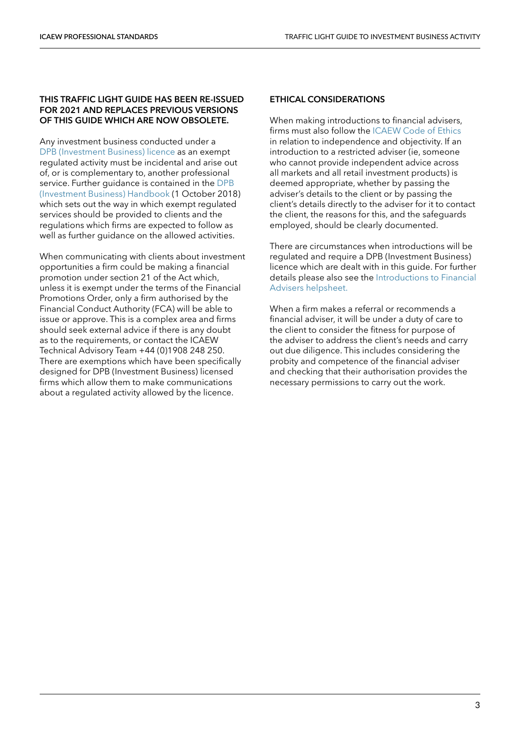#### **THIS TRAFFIC LIGHT GUIDE HAS BEEN RE-ISSUED FOR 2021 AND REPLACES PREVIOUS VERSIONS OF THIS GUIDE WHICH ARE NOW OBSOLETE.**

Any investment business conducted under a [DPB \(Investment Business\) licence](https://www.icaew.com/regulation/dpb-investment-business-licence) as an exempt regulated activity must be incidental and arise out of, or is complementary to, another professional service. Further guidance is contained in the [DPB](https://www.icaew.com/regulation/dpb-handbook)  [\(Investment Business\) Handbook](https://www.icaew.com/regulation/dpb-handbook) (1 October 2018) which sets out the way in which exempt regulated services should be provided to clients and the regulations which firms are expected to follow as well as further guidance on the allowed activities.

When communicating with clients about investment opportunities a firm could be making a financial promotion under section 21 of the Act which, unless it is exempt under the terms of the Financial Promotions Order, only a firm authorised by the Financial Conduct Authority (FCA) will be able to issue or approve. This is a complex area and firms should seek external advice if there is any doubt as to the requirements, or contact the ICAEW Technical Advisory Team +44 (0)1908 248 250. There are exemptions which have been specifically designed for DPB (Investment Business) licensed firms which allow them to make communications about a regulated activity allowed by the licence.

#### **ETHICAL CONSIDERATIONS**

When making introductions to financial advisers, firms must also follow the [ICAEW Code of Ethics](https://www.icaew.com/technical/ethics) in relation to independence and objectivity. If an introduction to a restricted adviser (ie, someone who cannot provide independent advice across all markets and all retail investment products) is deemed appropriate, whether by passing the adviser's details to the client or by passing the client's details directly to the adviser for it to contact the client, the reasons for this, and the safeguards employed, should be clearly documented.

There are circumstances when introductions will be regulated and require a DPB (Investment Business) licence which are dealt with in this guide. For further details please also see the [Introductions to Financial](https://www.icaew.com/technical/tas-helpsheets/ethics/introductions-to-financial-advisers)  [Advisers helpsheet.](https://www.icaew.com/technical/tas-helpsheets/ethics/introductions-to-financial-advisers)

When a firm makes a referral or recommends a financial adviser, it will be under a duty of care to the client to consider the fitness for purpose of the adviser to address the client's needs and carry out due diligence. This includes considering the probity and competence of the financial adviser and checking that their authorisation provides the necessary permissions to carry out the work.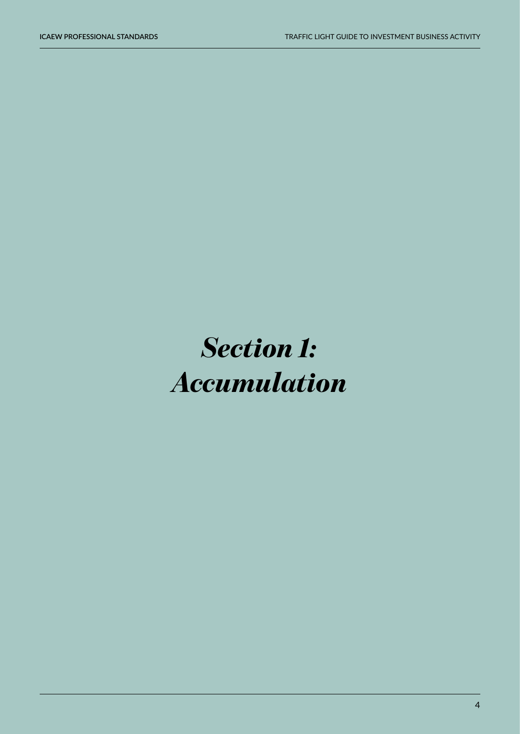# <span id="page-3-0"></span>*Section 1: Accumulation*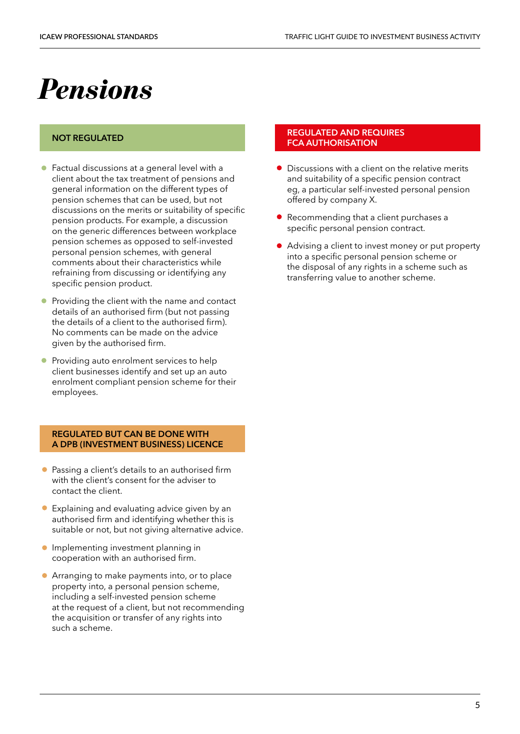### <span id="page-4-0"></span>*Pensions*

#### **NOT REGULATED**

- Factual discussions at a general level with a client about the tax treatment of pensions and general information on the different types of pension schemes that can be used, but not discussions on the merits or suitability of specific pension products. For example, a discussion on the generic differences between workplace pension schemes as opposed to self-invested personal pension schemes, with general comments about their characteristics while refraining from discussing or identifying any specific pension product.
- Providing the client with the name and contact details of an authorised firm (but not passing the details of a client to the authorised firm). No comments can be made on the advice given by the authorised firm.
- Providing auto enrolment services to help client businesses identify and set up an auto enrolment compliant pension scheme for their employees.

#### **REGULATED BUT CAN BE DONE WITH A DPB (INVESTMENT BUSINESS) LICENCE**

- Passing a client's details to an authorised firm with the client's consent for the adviser to contact the client.
- Explaining and evaluating advice given by an authorised firm and identifying whether this is suitable or not, but not giving alternative advice.
- **Implementing investment planning in** cooperation with an authorised firm.
- Arranging to make payments into, or to place property into, a personal pension scheme, including a self-invested pension scheme at the request of a client, but not recommending the acquisition or transfer of any rights into such a scheme.

- Discussions with a client on the relative merits and suitability of a specific pension contract eg, a particular self-invested personal pension offered by company X.
- Recommending that a client purchases a specific personal pension contract.
- Advising a client to invest money or put property into a specific personal pension scheme or the disposal of any rights in a scheme such as transferring value to another scheme.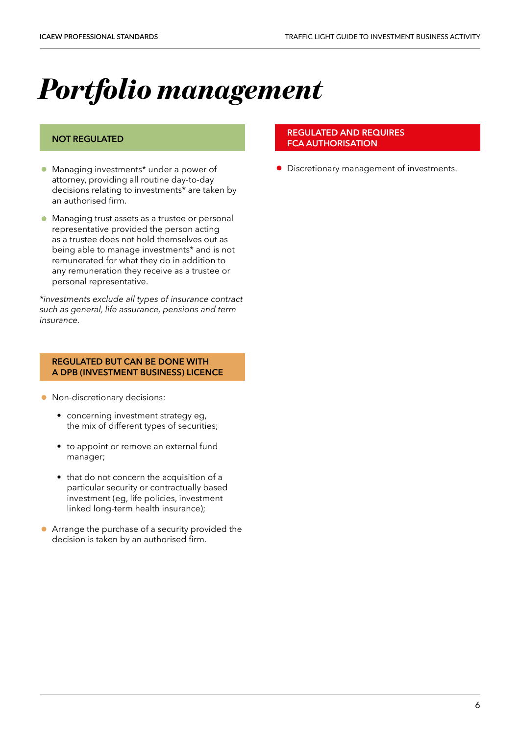# <span id="page-5-0"></span>*Portfolio management*

#### **NOT REGULATED**

- Managing investments\* under a power of attorney, providing all routine day-to-day decisions relating to investments\* are taken by an authorised firm.
- Managing trust assets as a trustee or personal representative provided the person acting as a trustee does not hold themselves out as being able to manage investments\* and is not remunerated for what they do in addition to any remuneration they receive as a trustee or personal representative.

*\*investments exclude all types of insurance contract such as general, life assurance, pensions and term insurance.*

#### **REGULATED BUT CAN BE DONE WITH A DPB (INVESTMENT BUSINESS) LICENCE**

- Non-discretionary decisions:
	- concerning investment strategy eg. the mix of different types of securities;
	- to appoint or remove an external fund manager;
	- that do not concern the acquisition of a particular security or contractually based investment (eg, life policies, investment linked long-term health insurance);
- Arrange the purchase of a security provided the decision is taken by an authorised firm.

#### **REGULATED AND REQUIRES FCA AUTHORISATION**

• Discretionary management of investments.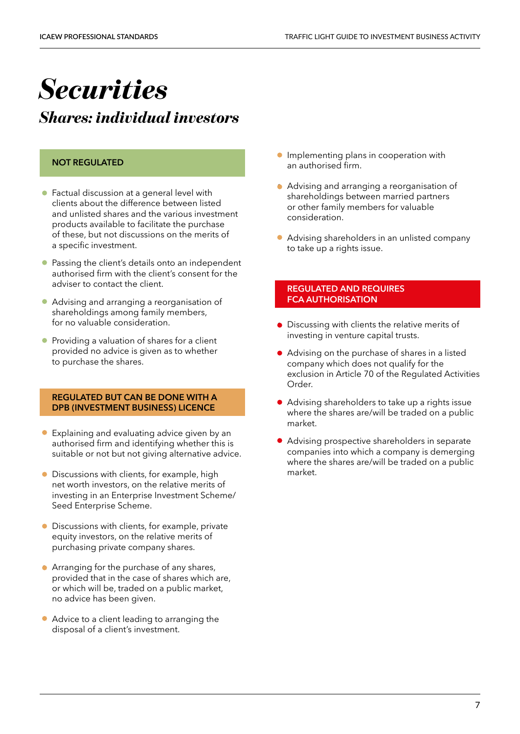## <span id="page-6-0"></span>*Securities*

*Shares: individual investors*

#### **NOT REGULATED**

- Factual discussion at a general level with clients about the difference between listed and unlisted shares and the various investment products available to facilitate the purchase of these, but not discussions on the merits of a specific investment.
- Passing the client's details onto an independent authorised firm with the client's consent for the adviser to contact the client.
- Advising and arranging a reorganisation of shareholdings among family members, for no valuable consideration.
- Providing a valuation of shares for a client provided no advice is given as to whether to purchase the shares.

#### **REGULATED BUT CAN BE DONE WITH A DPB (INVESTMENT BUSINESS) LICENCE**

- Explaining and evaluating advice given by an authorised firm and identifying whether this is suitable or not but not giving alternative advice.
- Discussions with clients, for example, high net worth investors, on the relative merits of investing in an Enterprise Investment Scheme/ Seed Enterprise Scheme.
- Discussions with clients, for example, private equity investors, on the relative merits of purchasing private company shares.
- Arranging for the purchase of any shares, provided that in the case of shares which are, or which will be, traded on a public market, no advice has been given.
- Advice to a client leading to arranging the disposal of a client's investment.
- Implementing plans in cooperation with an authorised firm.
- Advising and arranging a reorganisation of shareholdings between married partners or other family members for valuable consideration.
- Advising shareholders in an unlisted company to take up a rights issue.

- Discussing with clients the relative merits of investing in venture capital trusts.
- Advising on the purchase of shares in a listed company which does not qualify for the exclusion in Article 70 of the Regulated Activities Order.
- Advising shareholders to take up a rights issue where the shares are/will be traded on a public market.
- Advising prospective shareholders in separate companies into which a company is demerging where the shares are/will be traded on a public market.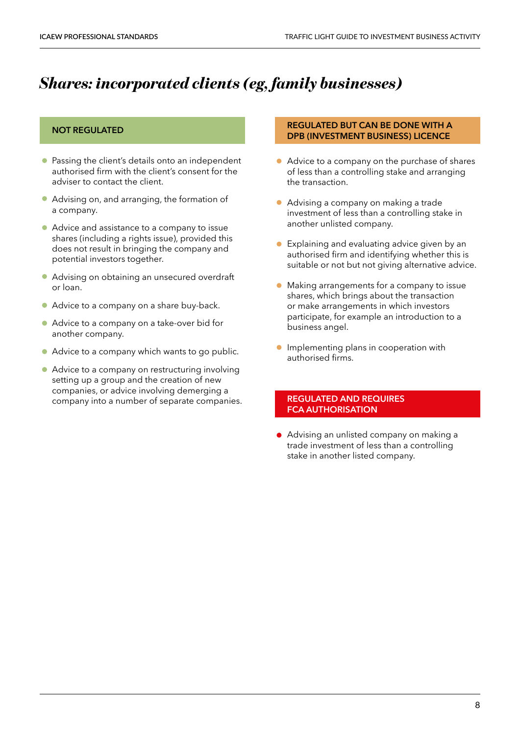### *Shares: incorporated clients (eg, family businesses)*

#### **NOT REGULATED**

- Passing the client's details onto an independent authorised firm with the client's consent for the adviser to contact the client.
- Advising on, and arranging, the formation of a company.
- Advice and assistance to a company to issue shares (including a rights issue), provided this does not result in bringing the company and potential investors together.
- Advising on obtaining an unsecured overdraft or loan.
- Advice to a company on a share buy-back.
- Advice to a company on a take-over bid for another company.
- Advice to a company which wants to go public.
- Advice to a company on restructuring involving setting up a group and the creation of new companies, or advice involving demerging a company into a number of separate companies.

#### **REGULATED BUT CAN BE DONE WITH A DPB (INVESTMENT BUSINESS) LICENCE**

- Advice to a company on the purchase of shares of less than a controlling stake and arranging the transaction.
- Advising a company on making a trade investment of less than a controlling stake in another unlisted company.
- Explaining and evaluating advice given by an authorised firm and identifying whether this is suitable or not but not giving alternative advice.
- Making arrangements for a company to issue shares, which brings about the transaction or make arrangements in which investors participate, for example an introduction to a business angel.
- **•** Implementing plans in cooperation with authorised firms.

#### **REGULATED AND REQUIRES FCA AUTHORISATION**

• Advising an unlisted company on making a trade investment of less than a controlling stake in another listed company.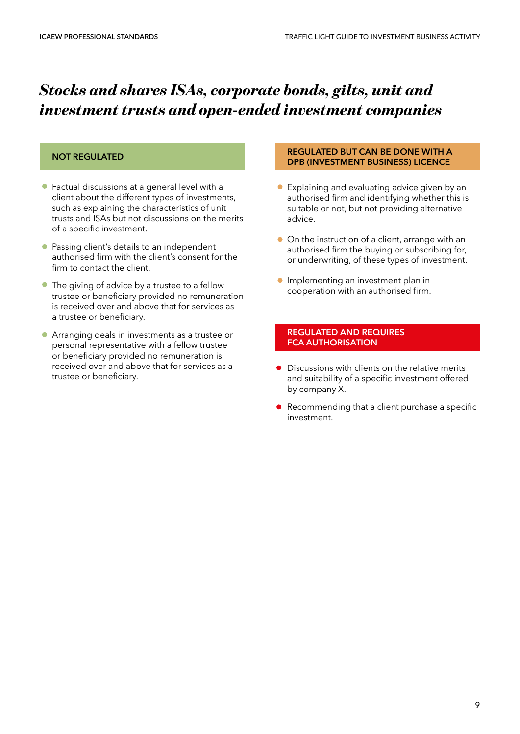### *Stocks and shares ISAs, corporate bonds, gilts, unit and investment trusts and open-ended investment companies*

#### **NOT REGULATED**

- Factual discussions at a general level with a client about the different types of investments, such as explaining the characteristics of unit trusts and ISAs but not discussions on the merits of a specific investment.
- Passing client's details to an independent authorised firm with the client's consent for the firm to contact the client.
- The giving of advice by a trustee to a fellow trustee or beneficiary provided no remuneration is received over and above that for services as a trustee or beneficiary.
- Arranging deals in investments as a trustee or personal representative with a fellow trustee or beneficiary provided no remuneration is received over and above that for services as a trustee or beneficiary.

#### **REGULATED BUT CAN BE DONE WITH A DPB (INVESTMENT BUSINESS) LICENCE**

- Explaining and evaluating advice given by an authorised firm and identifying whether this is suitable or not, but not providing alternative advice.
- On the instruction of a client, arrange with an authorised firm the buying or subscribing for, or underwriting, of these types of investment.
- **Implementing an investment plan in** cooperation with an authorised firm.

- Discussions with clients on the relative merits and suitability of a specific investment offered by company X.
- Recommending that a client purchase a specific investment.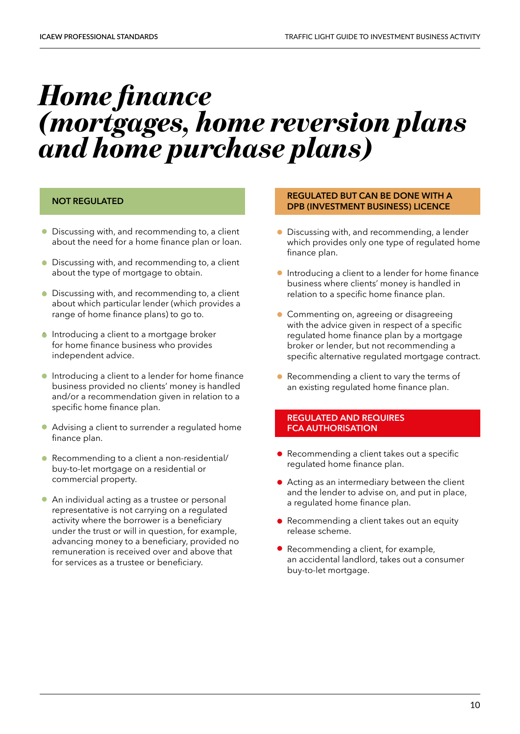### <span id="page-9-0"></span>*Home finance (mortgages, home reversion plans and home purchase plans)*

#### **NOT REGULATED**

- Discussing with, and recommending to, a client about the need for a home finance plan or loan.
- Discussing with, and recommending to, a client about the type of mortgage to obtain.
- Discussing with, and recommending to, a client about which particular lender (which provides a range of home finance plans) to go to.
- **•** Introducing a client to a mortgage broker for home finance business who provides independent advice.
- Introducing a client to a lender for home finance business provided no clients' money is handled and/or a recommendation given in relation to a specific home finance plan.
- Advising a client to surrender a regulated home finance plan.
- Recommending to a client a non-residential/ buy-to-let mortgage on a residential or commercial property.
- An individual acting as a trustee or personal representative is not carrying on a regulated activity where the borrower is a beneficiary under the trust or will in question, for example, advancing money to a beneficiary, provided no remuneration is received over and above that for services as a trustee or beneficiary.

#### **REGULATED BUT CAN BE DONE WITH A DPB (INVESTMENT BUSINESS) LICENCE**

- Discussing with, and recommending, a lender which provides only one type of regulated home finance plan.
- Introducing a client to a lender for home finance business where clients' money is handled in relation to a specific home finance plan.
- Commenting on, agreeing or disagreeing with the advice given in respect of a specific regulated home finance plan by a mortgage broker or lender, but not recommending a specific alternative regulated mortgage contract.
- Recommending a client to vary the terms of an existing regulated home finance plan.

- Recommending a client takes out a specific regulated home finance plan.
- Acting as an intermediary between the client and the lender to advise on, and put in place, a regulated home finance plan.
- Recommending a client takes out an equity release scheme.
- Recommending a client, for example, an accidental landlord, takes out a consumer buy-to-let mortgage.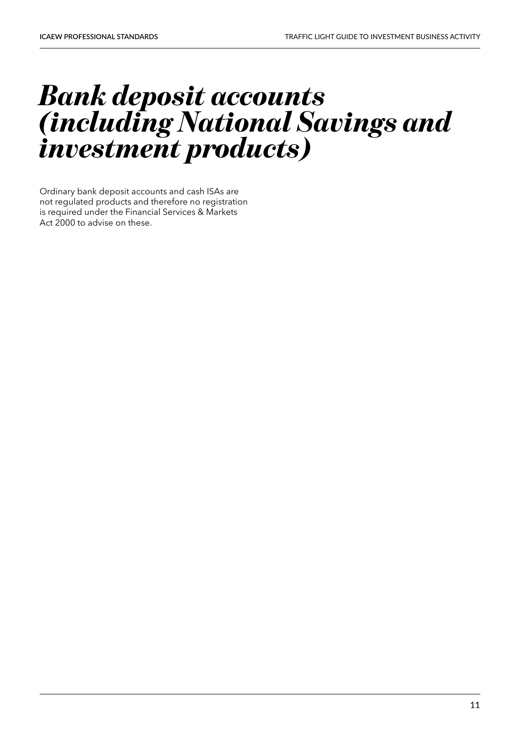### *Bank deposit accounts (including National Savings and investment products)*

Ordinary bank deposit accounts and cash ISAs are not regulated products and therefore no registration is required under the Financial Services & Markets Act 2000 to advise on these.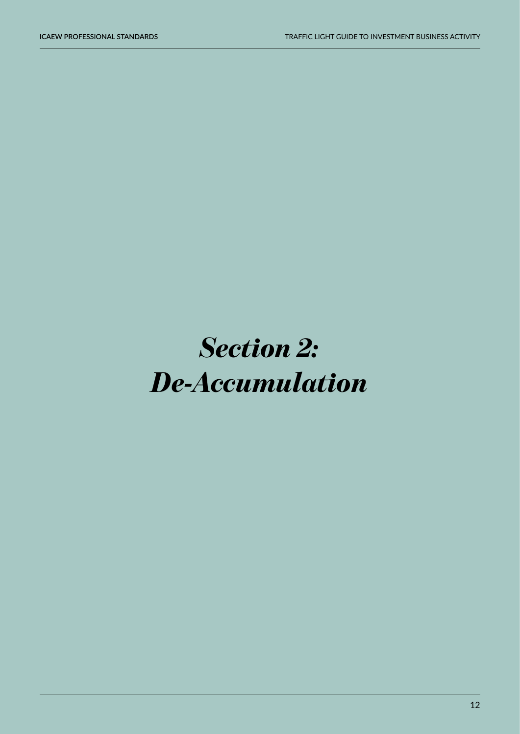## <span id="page-11-0"></span>*Section 2: De-Accumulation*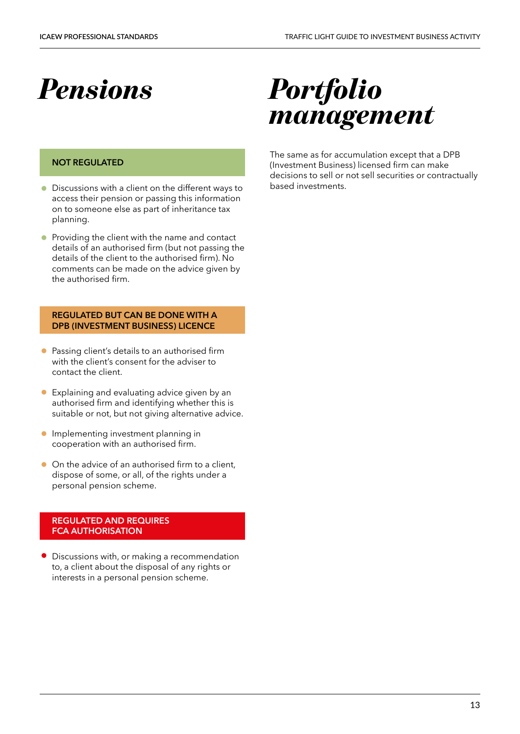### <span id="page-12-0"></span>*Pensions*

#### **NOT REGULATED**

- Discussions with a client on the different ways to access their pension or passing this information on to someone else as part of inheritance tax planning.
- **•** Providing the client with the name and contact details of an authorised firm (but not passing the details of the client to the authorised firm). No comments can be made on the advice given by the authorised firm.

#### **REGULATED BUT CAN BE DONE WITH A DPB (INVESTMENT BUSINESS) LICENCE**

- Passing client's details to an authorised firm with the client's consent for the adviser to contact the client.
- Explaining and evaluating advice given by an authorised firm and identifying whether this is suitable or not, but not giving alternative advice.
- **Implementing investment planning in** cooperation with an authorised firm.
- On the advice of an authorised firm to a client, dispose of some, or all, of the rights under a personal pension scheme.

#### **REGULATED AND REQUIRES FCA AUTHORISATION**

• Discussions with, or making a recommendation to, a client about the disposal of any rights or interests in a personal pension scheme.

### *Portfolio management*

The same as for accumulation except that a DPB (Investment Business) licensed firm can make decisions to sell or not sell securities or contractually based investments.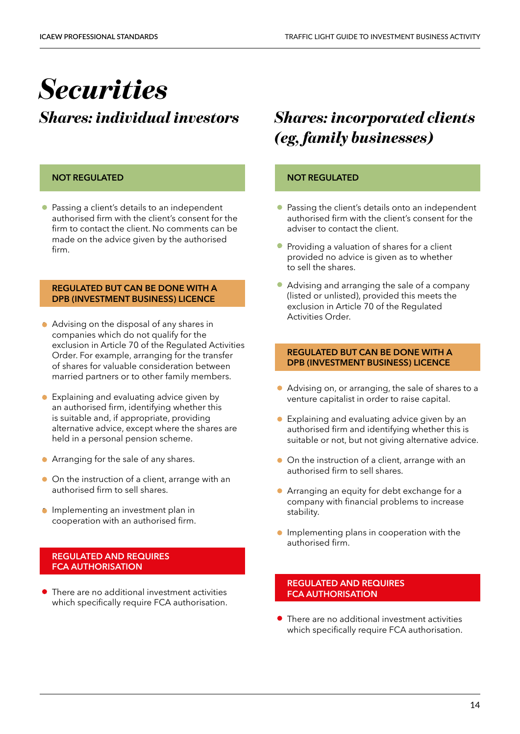# <span id="page-13-0"></span>*Securities*

### *Shares: individual investors*

#### **NOT REGULATED**

• Passing a client's details to an independent authorised firm with the client's consent for the firm to contact the client. No comments can be made on the advice given by the authorised firm.

#### **REGULATED BUT CAN BE DONE WITH A DPB (INVESTMENT BUSINESS) LICENCE**

- Advising on the disposal of any shares in companies which do not qualify for the exclusion in Article 70 of the Regulated Activities Order. For example, arranging for the transfer of shares for valuable consideration between married partners or to other family members.
- Explaining and evaluating advice given by an authorised firm, identifying whether this is suitable and, if appropriate, providing alternative advice, except where the shares are held in a personal pension scheme.
- Arranging for the sale of any shares.
- On the instruction of a client, arrange with an authorised firm to sell shares.
- **•** Implementing an investment plan in cooperation with an authorised firm.

#### **REGULATED AND REQUIRES FCA AUTHORISATION**

• There are no additional investment activities which specifically require FCA authorisation.

### *Shares: incorporated clients (eg, family businesses)*

#### **NOT REGULATED**

- Passing the client's details onto an independent authorised firm with the client's consent for the adviser to contact the client.
- Providing a valuation of shares for a client provided no advice is given as to whether to sell the shares.
- Advising and arranging the sale of a company (listed or unlisted), provided this meets the exclusion in Article 70 of the Regulated Activities Order.

#### **REGULATED BUT CAN BE DONE WITH A DPB (INVESTMENT BUSINESS) LICENCE**

- Advising on, or arranging, the sale of shares to a venture capitalist in order to raise capital.
- Explaining and evaluating advice given by an authorised firm and identifying whether this is suitable or not, but not giving alternative advice.
- On the instruction of a client, arrange with an authorised firm to sell shares.
- Arranging an equity for debt exchange for a company with financial problems to increase stability.
- **•** Implementing plans in cooperation with the authorised firm.

#### **REGULATED AND REQUIRES FCA AUTHORISATION**

• There are no additional investment activities which specifically require FCA authorisation.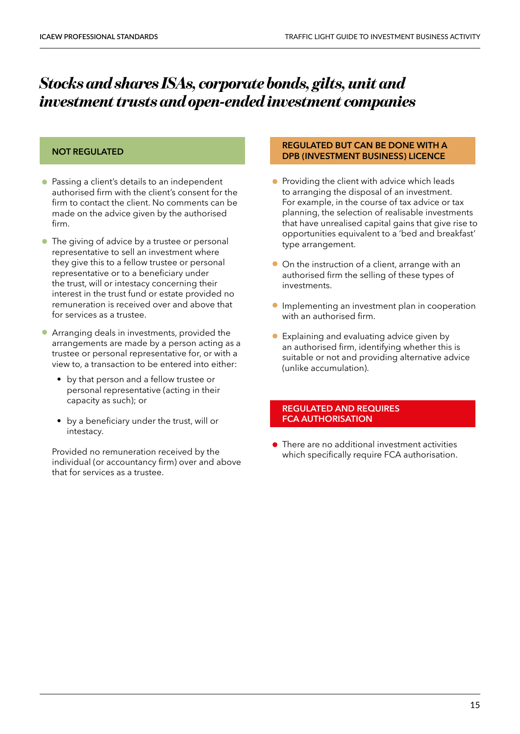### *Stocks and shares ISAs, corporate bonds, gilts, unit and investment trusts and open-ended investment companies*

#### **NOT REGULATED**

- Passing a client's details to an independent authorised firm with the client's consent for the firm to contact the client. No comments can be made on the advice given by the authorised firm.
- The giving of advice by a trustee or personal representative to sell an investment where they give this to a fellow trustee or personal representative or to a beneficiary under the trust, will or intestacy concerning their interest in the trust fund or estate provided no remuneration is received over and above that for services as a trustee.
- Arranging deals in investments, provided the arrangements are made by a person acting as a trustee or personal representative for, or with a view to, a transaction to be entered into either:
	- by that person and a fellow trustee or personal representative (acting in their capacity as such); or
	- by a beneficiary under the trust, will or intestacy.

Provided no remuneration received by the individual (or accountancy firm) over and above that for services as a trustee.

#### **REGULATED BUT CAN BE DONE WITH A DPB (INVESTMENT BUSINESS) LICENCE**

- Providing the client with advice which leads to arranging the disposal of an investment. For example, in the course of tax advice or tax planning, the selection of realisable investments that have unrealised capital gains that give rise to opportunities equivalent to a 'bed and breakfast' type arrangement.
- On the instruction of a client, arrange with an authorised firm the selling of these types of investments.
- Implementing an investment plan in cooperation with an authorised firm.
- Explaining and evaluating advice given by an authorised firm, identifying whether this is suitable or not and providing alternative advice (unlike accumulation).

#### **REGULATED AND REQUIRES FCA AUTHORISATION**

• There are no additional investment activities which specifically require FCA authorisation.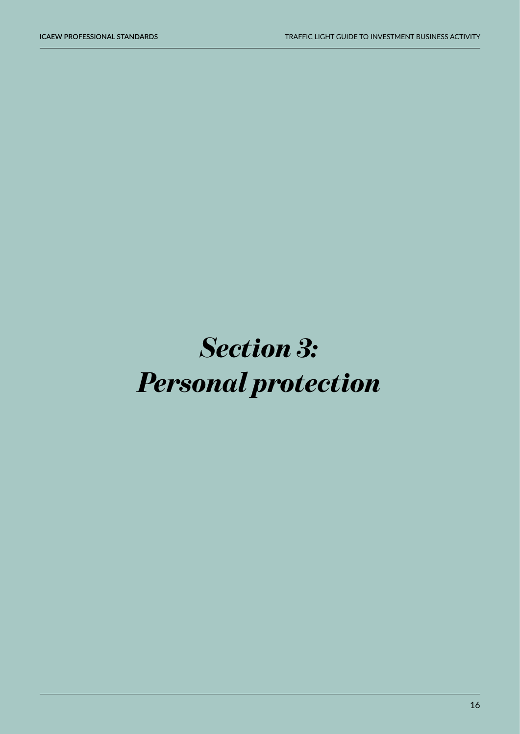# <span id="page-15-0"></span>*Section 3: Personal protection*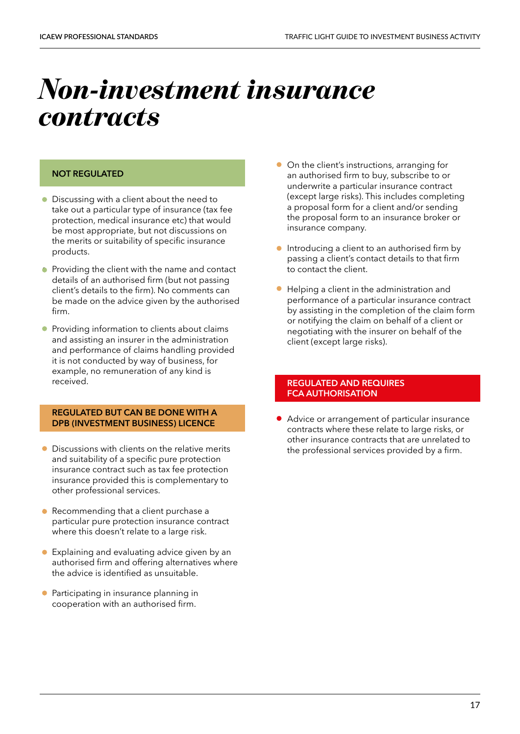### <span id="page-16-0"></span>*Non-investment insurance contracts*

#### **NOT REGULATED**

- Discussing with a client about the need to take out a particular type of insurance (tax fee protection, medical insurance etc) that would be most appropriate, but not discussions on the merits or suitability of specific insurance products.
- Providing the client with the name and contact details of an authorised firm (but not passing client's details to the firm). No comments can be made on the advice given by the authorised firm.
- Providing information to clients about claims and assisting an insurer in the administration and performance of claims handling provided it is not conducted by way of business, for example, no remuneration of any kind is received.

#### **REGULATED BUT CAN BE DONE WITH A DPB (INVESTMENT BUSINESS) LICENCE**

- Discussions with clients on the relative merits and suitability of a specific pure protection insurance contract such as tax fee protection insurance provided this is complementary to other professional services.
- Recommending that a client purchase a particular pure protection insurance contract where this doesn't relate to a large risk.
- Explaining and evaluating advice given by an authorised firm and offering alternatives where the advice is identified as unsuitable.
- Participating in insurance planning in cooperation with an authorised firm.
- On the client's instructions, arranging for an authorised firm to buy, subscribe to or underwrite a particular insurance contract (except large risks). This includes completing a proposal form for a client and/or sending the proposal form to an insurance broker or insurance company.
- **•** Introducing a client to an authorised firm by passing a client's contact details to that firm to contact the client.
- Helping a client in the administration and performance of a particular insurance contract by assisting in the completion of the claim form or notifying the claim on behalf of a client or negotiating with the insurer on behalf of the client (except large risks).

#### **REGULATED AND REQUIRES FCA AUTHORISATION**

• Advice or arrangement of particular insurance contracts where these relate to large risks, or other insurance contracts that are unrelated to the professional services provided by a firm.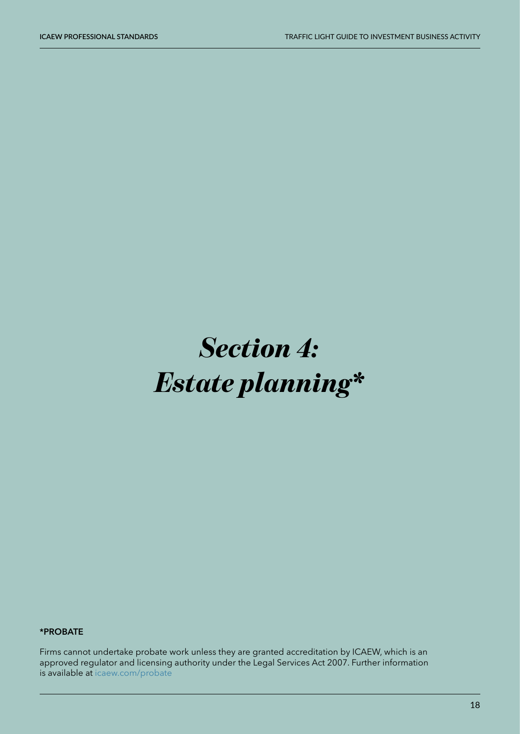# <span id="page-17-0"></span>*Section 4: Estate planning\**

#### **\*PROBATE**

Firms cannot undertake probate work unless they are granted accreditation by ICAEW, which is an approved regulator and licensing authority under the Legal Services Act 2007. Further information is available at [icaew.com/probate](http://icaew.com/probate)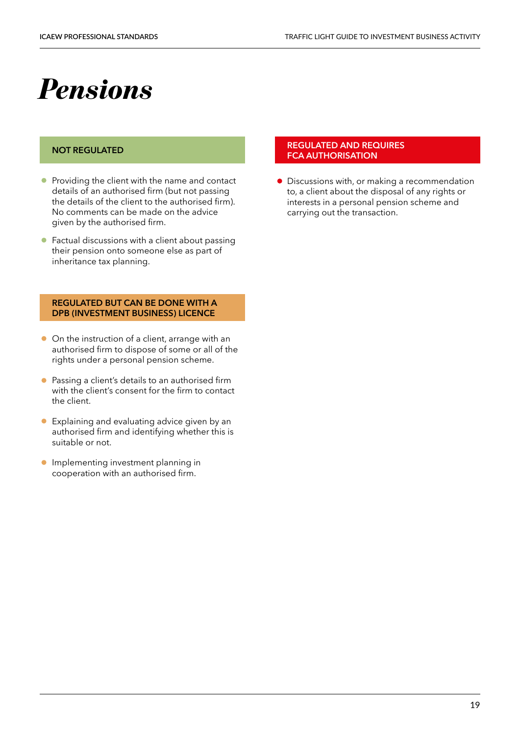### <span id="page-18-0"></span>*Pensions*

#### **NOT REGULATED**

- Providing the client with the name and contact details of an authorised firm (but not passing the details of the client to the authorised firm). No comments can be made on the advice given by the authorised firm.
- Factual discussions with a client about passing their pension onto someone else as part of inheritance tax planning.

#### **REGULATED BUT CAN BE DONE WITH A DPB (INVESTMENT BUSINESS) LICENCE**

- On the instruction of a client, arrange with an authorised firm to dispose of some or all of the rights under a personal pension scheme.
- Passing a client's details to an authorised firm with the client's consent for the firm to contact the client.
- Explaining and evaluating advice given by an authorised firm and identifying whether this is suitable or not.
- **Implementing investment planning in** cooperation with an authorised firm.

#### **REGULATED AND REQUIRES FCA AUTHORISATION**

• Discussions with, or making a recommendation to, a client about the disposal of any rights or interests in a personal pension scheme and carrying out the transaction.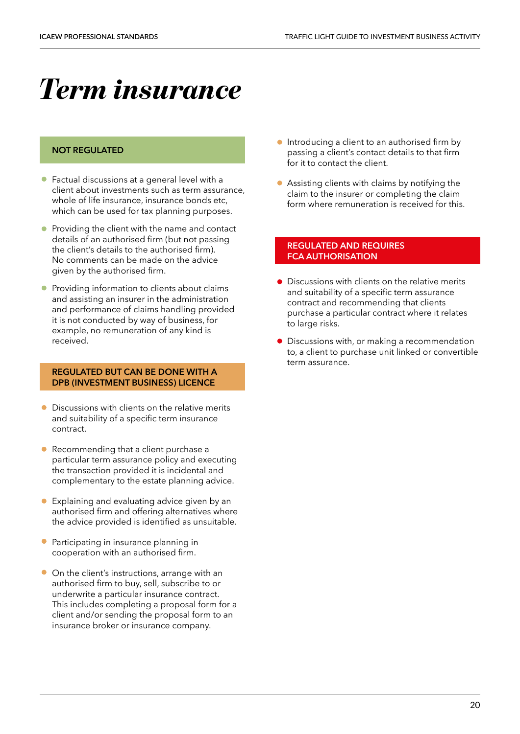## <span id="page-19-0"></span>*Term insurance*

#### **NOT REGULATED**

- Factual discussions at a general level with a client about investments such as term assurance, whole of life insurance, insurance bonds etc, which can be used for tax planning purposes.
- Providing the client with the name and contact details of an authorised firm (but not passing the client's details to the authorised firm). No comments can be made on the advice given by the authorised firm.
- Providing information to clients about claims and assisting an insurer in the administration and performance of claims handling provided it is not conducted by way of business, for example, no remuneration of any kind is received.

#### **REGULATED BUT CAN BE DONE WITH A DPB (INVESTMENT BUSINESS) LICENCE**

- Discussions with clients on the relative merits and suitability of a specific term insurance contract.
- Recommending that a client purchase a particular term assurance policy and executing the transaction provided it is incidental and complementary to the estate planning advice.
- Explaining and evaluating advice given by an authorised firm and offering alternatives where the advice provided is identified as unsuitable.
- Participating in insurance planning in cooperation with an authorised firm.
- On the client's instructions, arrange with an authorised firm to buy, sell, subscribe to or underwrite a particular insurance contract. This includes completing a proposal form for a client and/or sending the proposal form to an insurance broker or insurance company.
- **•** Introducing a client to an authorised firm by passing a client's contact details to that firm for it to contact the client.
- Assisting clients with claims by notifying the claim to the insurer or completing the claim form where remuneration is received for this.

- Discussions with clients on the relative merits and suitability of a specific term assurance contract and recommending that clients purchase a particular contract where it relates to large risks.
- Discussions with, or making a recommendation to, a client to purchase unit linked or convertible term assurance.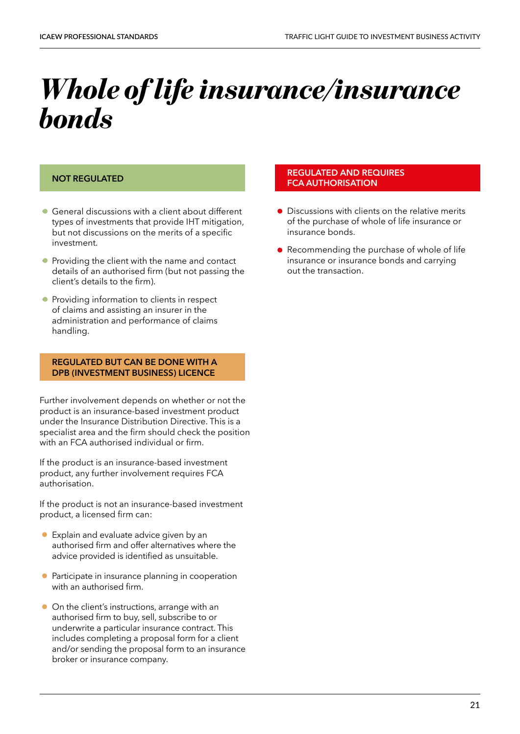## <span id="page-20-0"></span>*Whole of life insurance/insurance bonds*

#### **NOT REGULATED**

- General discussions with a client about different types of investments that provide IHT mitigation, but not discussions on the merits of a specific investment.
- Providing the client with the name and contact details of an authorised firm (but not passing the client's details to the firm).
- Providing information to clients in respect of claims and assisting an insurer in the administration and performance of claims handling.

#### **REGULATED BUT CAN BE DONE WITH A DPB (INVESTMENT BUSINESS) LICENCE**

Further involvement depends on whether or not the product is an insurance-based investment product under the Insurance Distribution Directive. This is a specialist area and the firm should check the position with an FCA authorised individual or firm.

If the product is an insurance-based investment product, any further involvement requires FCA authorisation.

If the product is not an insurance-based investment product, a licensed firm can:

- Explain and evaluate advice given by an authorised firm and offer alternatives where the advice provided is identified as unsuitable.
- Participate in insurance planning in cooperation with an authorised firm.
- On the client's instructions, arrange with an authorised firm to buy, sell, subscribe to or underwrite a particular insurance contract. This includes completing a proposal form for a client and/or sending the proposal form to an insurance broker or insurance company.

- Discussions with clients on the relative merits of the purchase of whole of life insurance or insurance bonds.
- Recommending the purchase of whole of life insurance or insurance bonds and carrying out the transaction.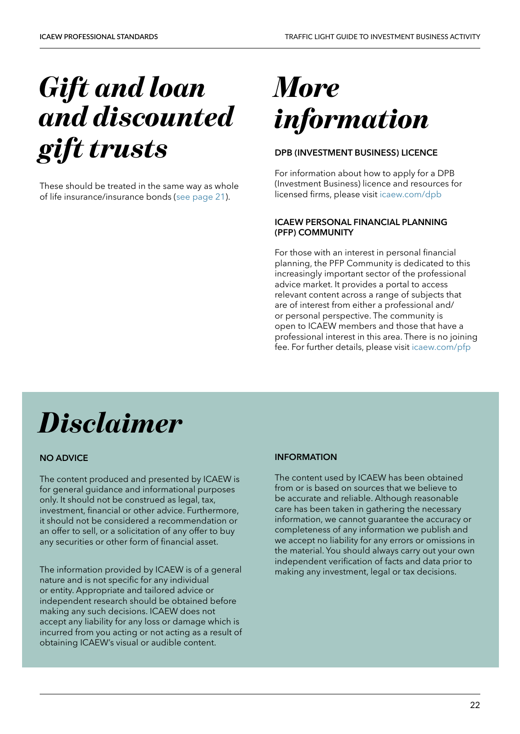# <span id="page-21-0"></span>*Gift and loan and discounted gift trusts*

These should be treated in the same way as whole of life insurance/insurance bonds ([see page 21](#page-20-0)).

# *More information*

#### **DPB (INVESTMENT BUSINESS) LICENCE**

For information about how to apply for a DPB (Investment Business) licence and resources for licensed firms, please visit [icaew.com/dpb](https://www.icaew.com/regulation/dpb-investment-business-licence)

#### **ICAEW PERSONAL FINANCIAL PLANNING (PFP) COMMUNITY**

For those with an interest in personal financial planning, the PFP Community is dedicated to this increasingly important sector of the professional advice market. It provides a portal to access relevant content across a range of subjects that are of interest from either a professional and/ or personal perspective. The community is open to ICAEW members and those that have a professional interest in this area. There is no joining fee. For further details, please visit [icaew.com/pfp](https://www.icaew.com/groups-and-networks/communities/personal-financial-planning-community) 

### *Disclaimer*

#### **NO ADVICE**

The content produced and presented by ICAEW is for general guidance and informational purposes only. It should not be construed as legal, tax, investment, financial or other advice. Furthermore, it should not be considered a recommendation or an offer to sell, or a solicitation of any offer to buy any securities or other form of financial asset.

The information provided by ICAEW is of a general nature and is not specific for any individual or entity. Appropriate and tailored advice or independent research should be obtained before making any such decisions. ICAEW does not accept any liability for any loss or damage which is incurred from you acting or not acting as a result of obtaining ICAEW's visual or audible content.

#### **INFORMATION**

The content used by ICAEW has been obtained from or is based on sources that we believe to be accurate and reliable. Although reasonable care has been taken in gathering the necessary information, we cannot guarantee the accuracy or completeness of any information we publish and we accept no liability for any errors or omissions in the material. You should always carry out your own independent verification of facts and data prior to making any investment, legal or tax decisions.